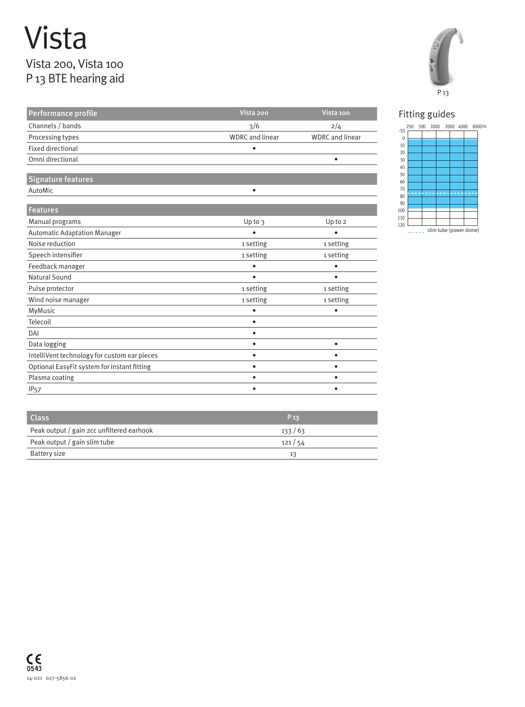## Vista Vista 200, Vista 100 P 13 BTE hearing aid







| <b>Class</b>                              | $P_{13}$ |
|-------------------------------------------|----------|
| Peak output / gain 2cc unfiltered earhook | 133/63   |
| Peak output / gain slim tube              | 121/54   |
| Battery size                              | 13       |